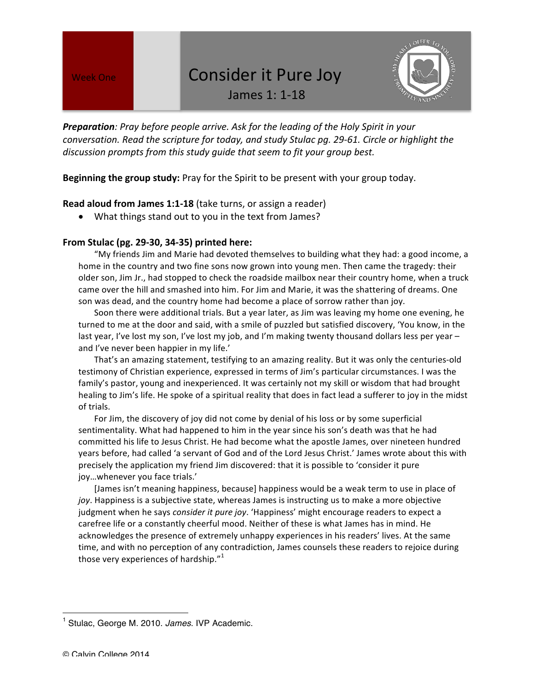## Week One Consider it Pure Joy

James 1: 1-18



**Preparation**: Pray before people arrive. Ask for the leading of the Holy Spirit in your *conversation.* Read the scripture for today, and study Stulac pg. 29-61. Circle or highlight the discussion prompts from this study guide that seem to fit your group best.

**Beginning the group study:** Pray for the Spirit to be present with your group today.

## **Read aloud from James 1:1-18** (take turns, or assign a reader)

• What things stand out to you in the text from James?

## **From Stulac (pg. 29-30, 34-35) printed here:**

"My friends Jim and Marie had devoted themselves to building what they had: a good income, a home in the country and two fine sons now grown into young men. Then came the tragedy: their older son, Jim Jr., had stopped to check the roadside mailbox near their country home, when a truck came over the hill and smashed into him. For Jim and Marie, it was the shattering of dreams. One son was dead, and the country home had become a place of sorrow rather than joy.

Soon there were additional trials. But a year later, as Jim was leaving my home one evening, he turned to me at the door and said, with a smile of puzzled but satisfied discovery, 'You know, in the last year, I've lost my son, I've lost my job, and I'm making twenty thousand dollars less per year  $$ and I've never been happier in my life.'

That's an amazing statement, testifying to an amazing reality. But it was only the centuries-old testimony of Christian experience, expressed in terms of Jim's particular circumstances. I was the family's pastor, young and inexperienced. It was certainly not my skill or wisdom that had brought healing to Jim's life. He spoke of a spiritual reality that does in fact lead a sufferer to joy in the midst of trials.

For Jim, the discovery of joy did not come by denial of his loss or by some superficial sentimentality. What had happened to him in the year since his son's death was that he had committed his life to Jesus Christ. He had become what the apostle James, over nineteen hundred years before, had called 'a servant of God and of the Lord Jesus Christ.' James wrote about this with precisely the application my friend Jim discovered: that it is possible to 'consider it pure joy...whenever you face trials.'

[James isn't meaning happiness, because] happiness would be a weak term to use in place of joy. Happiness is a subjective state, whereas James is instructing us to make a more objective judgment when he says *consider it pure joy*. 'Happiness' might encourage readers to expect a carefree life or a constantly cheerful mood. Neither of these is what James has in mind. He acknowledges the presence of extremely unhappy experiences in his readers' lives. At the same time, and with no perception of any contradiction, James counsels these readers to rejoice during those very experiences of hardship." $^{1}$ 

 

<sup>1</sup> Stulac, George M. 2010. *James*. IVP Academic.